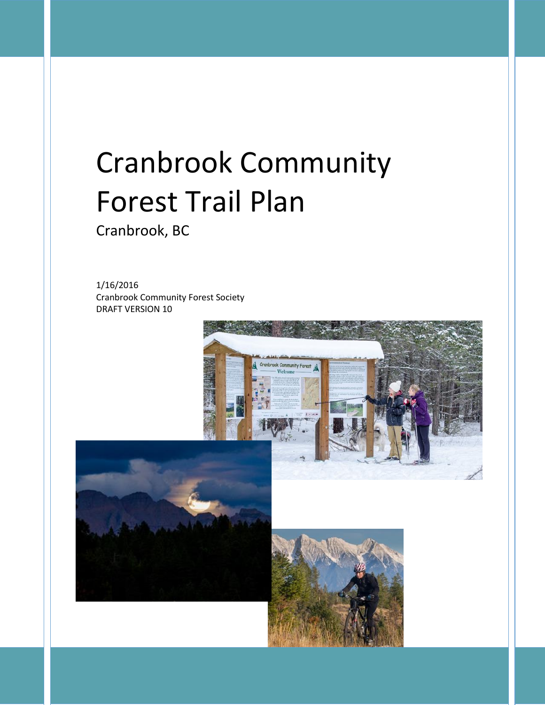# Cranbrook Community Forest Trail Plan

Cranbrook, BC

1/16/2016 Cranbrook Community Forest Society DRAFT VERSION 10

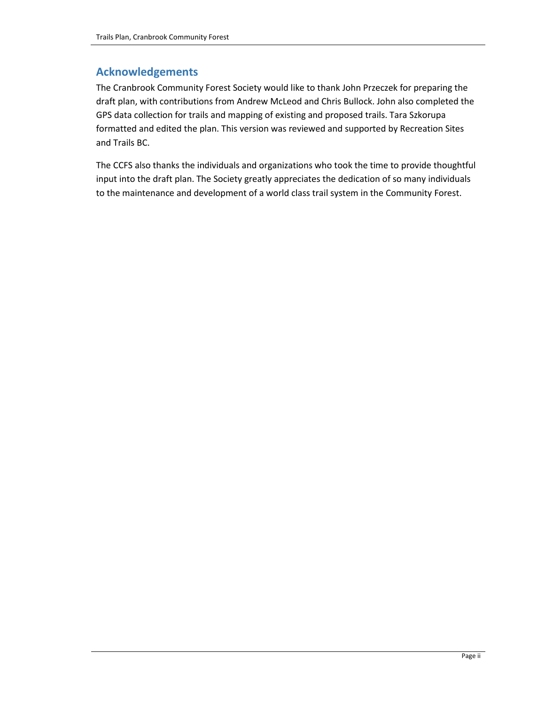#### **Acknowledgements**

The Cranbrook Community Forest Society would like to thank John Przeczek for preparing the draft plan, with contributions from Andrew McLeod and Chris Bullock. John also completed the GPS data collection for trails and mapping of existing and proposed trails. Tara Szkorupa formatted and edited the plan. This version was reviewed and supported by Recreation Sites and Trails BC.

The CCFS also thanks the individuals and organizations who took the time to provide thoughtful input into the draft plan. The Society greatly appreciates the dedication of so many individuals to the maintenance and development of a world class trail system in the Community Forest.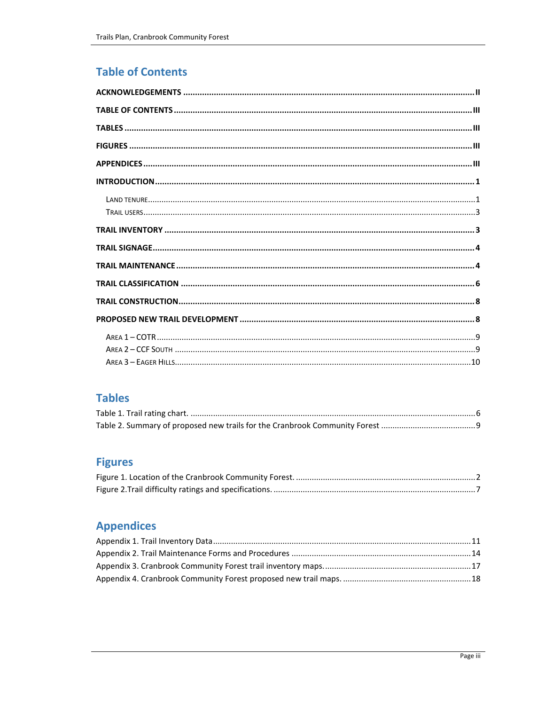## **Table of Contents**

### **Tables**

## **Figures**

## **Appendices**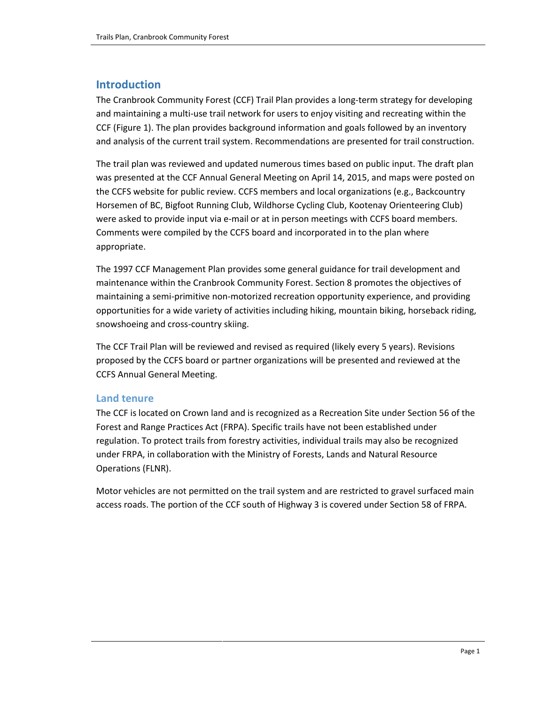#### **Introduction**

The Cranbrook Community Forest (CCF) Trail Plan provides a long-term strategy for developing and maintaining a multi-use trail network for users to enjoy visiting and recreating within the CCF [\(Figure 1\)](#page-4-0). The plan provides background information and goals followed by an inventory and analysis of the current trail system. Recommendations are presented for trail construction.

The trail plan was reviewed and updated numerous times based on public input. The draft plan was presented at the CCF Annual General Meeting on April 14, 2015, and maps were posted on the CCFS website for public review. CCFS members and local organizations (e.g., Backcountry Horsemen of BC, Bigfoot Running Club, Wildhorse Cycling Club, Kootenay Orienteering Club) were asked to provide input via e-mail or at in person meetings with CCFS board members. Comments were compiled by the CCFS board and incorporated in to the plan where appropriate.

The 1997 CCF Management Plan provides some general guidance for trail development and maintenance within the Cranbrook Community Forest. Section 8 promotes the objectives of maintaining a semi-primitive non-motorized recreation opportunity experience, and providing opportunities for a wide variety of activities including hiking, mountain biking, horseback riding, snowshoeing and cross-country skiing.

The CCF Trail Plan will be reviewed and revised as required (likely every 5 years). Revisions proposed by the CCFS board or partner organizations will be presented and reviewed at the CCFS Annual General Meeting.

#### **Land tenure**

The CCF is located on Crown land and is recognized as a Recreation Site under Section 56 of the Forest and Range Practices Act (FRPA). Specific trails have not been established under regulation. To protect trails from forestry activities, individual trails may also be recognized under FRPA, in collaboration with the Ministry of Forests, Lands and Natural Resource Operations (FLNR).

Motor vehicles are not permitted on the trail system and are restricted to gravel surfaced main access roads. The portion of the CCF south of Highway 3 is covered under Section 58 of FRPA.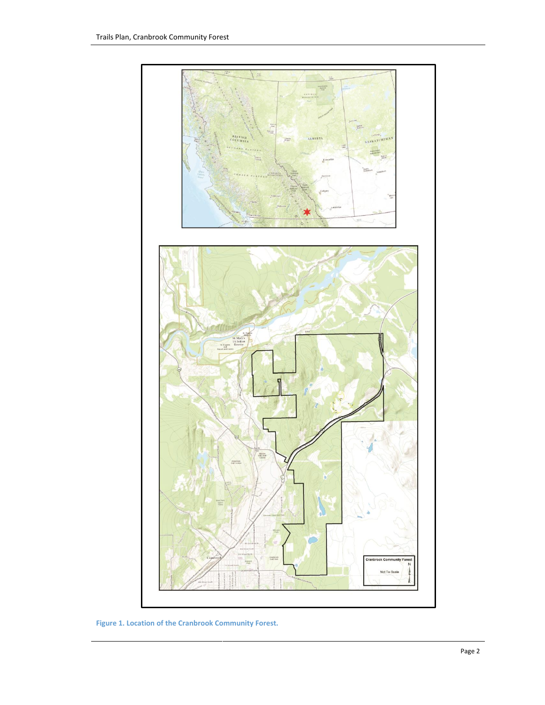

<span id="page-4-0"></span>**Figure 1. Location of the Cranbrook Community Forest.**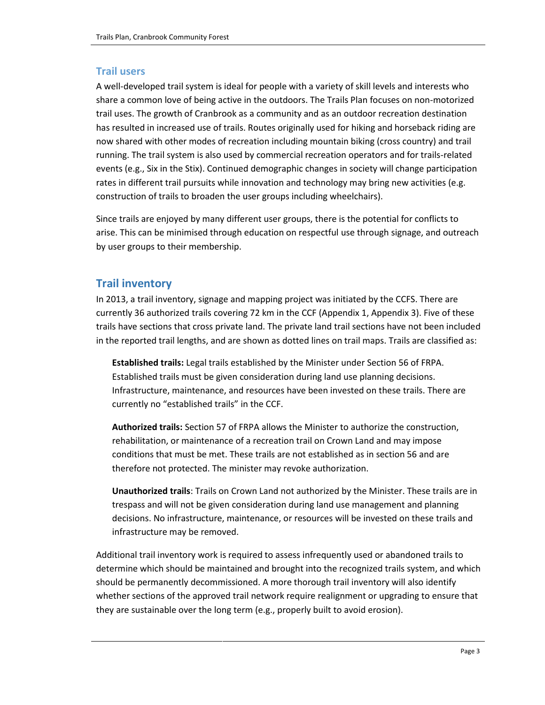#### **Trail users**

A well-developed trail system is ideal for people with a variety of skill levels and interests who share a common love of being active in the outdoors. The Trails Plan focuses on non-motorized trail uses. The growth of Cranbrook as a community and as an outdoor recreation destination has resulted in increased use of trails. Routes originally used for hiking and horseback riding are now shared with other modes of recreation including mountain biking (cross country) and trail running. The trail system is also used by commercial recreation operators and for trails-related events (e.g., Six in the Stix). Continued demographic changes in society will change participation rates in different trail pursuits while innovation and technology may bring new activities (e.g. construction of trails to broaden the user groups including wheelchairs).

Since trails are enjoyed by many different user groups, there is the potential for conflicts to arise. This can be minimised through education on respectful use through signage, and outreach by user groups to their membership.

#### **Trail inventory**

In 2013, a trail inventory, signage and mapping project was initiated by the CCFS. There are currently 36 authorized trails covering 72 km in the CCF (Appendix 1, Appendix 3). Five of these trails have sections that cross private land. The private land trail sections have not been included in the reported trail lengths, and are shown as dotted lines on trail maps. Trails are classified as:

**Established trails:** Legal trails established by the Minister under Section 56 of FRPA. Established trails must be given consideration during land use planning decisions. Infrastructure, maintenance, and resources have been invested on these trails. There are currently no "established trails" in the CCF.

**Authorized trails:** Section 57 of FRPA allows the Minister to authorize the construction, rehabilitation, or maintenance of a recreation trail on Crown Land and may impose conditions that must be met. These trails are not established as in section 56 and are therefore not protected. The minister may revoke authorization.

**Unauthorized trails**: Trails on Crown Land not authorized by the Minister. These trails are in trespass and will not be given consideration during land use management and planning decisions. No infrastructure, maintenance, or resources will be invested on these trails and infrastructure may be removed.

Additional trail inventory work is required to assess infrequently used or abandoned trails to determine which should be maintained and brought into the recognized trails system, and which should be permanently decommissioned. A more thorough trail inventory will also identify whether sections of the approved trail network require realignment or upgrading to ensure that they are sustainable over the long term (e.g., properly built to avoid erosion).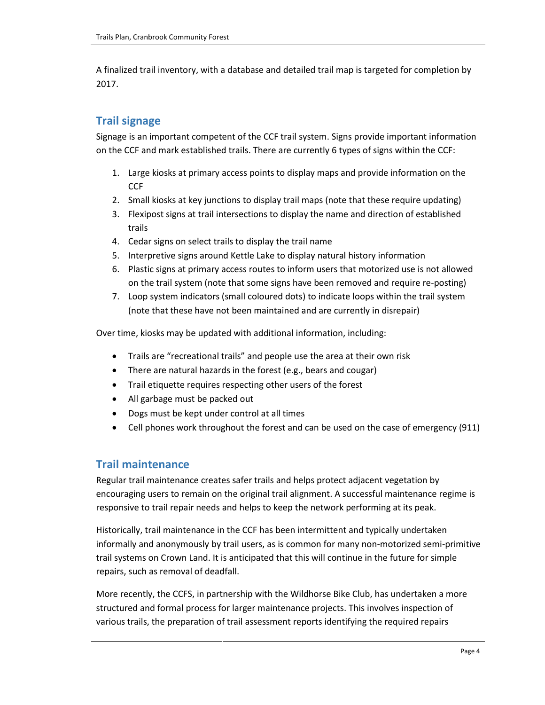A finalized trail inventory, with a database and detailed trail map is targeted for completion by 2017.

#### **Trail signage**

Signage is an important competent of the CCF trail system. Signs provide important information on the CCF and mark established trails. There are currently 6 types of signs within the CCF:

- 1. Large kiosks at primary access points to display maps and provide information on the **CCF**
- 2. Small kiosks at key junctions to display trail maps (note that these require updating)
- 3. Flexipost signs at trail intersections to display the name and direction of established trails
- 4. Cedar signs on select trails to display the trail name
- 5. Interpretive signs around Kettle Lake to display natural history information
- 6. Plastic signs at primary access routes to inform users that motorized use is not allowed on the trail system (note that some signs have been removed and require re-posting)
- 7. Loop system indicators (small coloured dots) to indicate loops within the trail system (note that these have not been maintained and are currently in disrepair)

Over time, kiosks may be updated with additional information, including:

- Trails are "recreational trails" and people use the area at their own risk
- There are natural hazards in the forest (e.g., bears and cougar)
- Trail etiquette requires respecting other users of the forest
- All garbage must be packed out
- Dogs must be kept under control at all times
- Cell phones work throughout the forest and can be used on the case of emergency (911)

#### **Trail maintenance**

Regular trail maintenance creates safer trails and helps protect adjacent vegetation by encouraging users to remain on the original trail alignment. A successful maintenance regime is responsive to trail repair needs and helps to keep the network performing at its peak.

Historically, trail maintenance in the CCF has been intermittent and typically undertaken informally and anonymously by trail users, as is common for many non-motorized semi-primitive trail systems on Crown Land. It is anticipated that this will continue in the future for simple repairs, such as removal of deadfall.

More recently, the CCFS, in partnership with the Wildhorse Bike Club, has undertaken a more structured and formal process for larger maintenance projects. This involves inspection of various trails, the preparation of trail assessment reports identifying the required repairs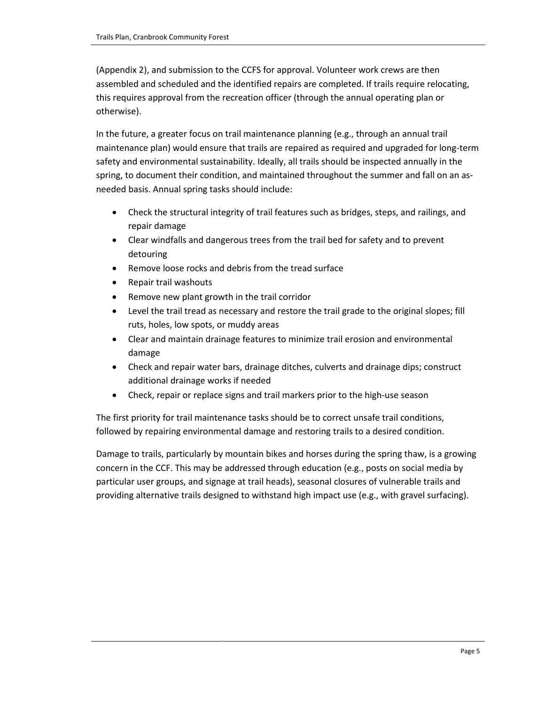(Appendix 2), and submission to the CCFS for approval. Volunteer work crews are then assembled and scheduled and the identified repairs are completed. If trails require relocating, this requires approval from the recreation officer (through the annual operating plan or otherwise).

In the future, a greater focus on trail maintenance planning (e.g., through an annual trail maintenance plan) would ensure that trails are repaired as required and upgraded for long-term safety and environmental sustainability. Ideally, all trails should be inspected annually in the spring, to document their condition, and maintained throughout the summer and fall on an asneeded basis. Annual spring tasks should include:

- Check the structural integrity of trail features such as bridges, steps, and railings, and repair damage
- Clear windfalls and dangerous trees from the trail bed for safety and to prevent detouring
- Remove loose rocks and debris from the tread surface
- Repair trail washouts
- Remove new plant growth in the trail corridor
- Level the trail tread as necessary and restore the trail grade to the original slopes; fill ruts, holes, low spots, or muddy areas
- Clear and maintain drainage features to minimize trail erosion and environmental damage
- Check and repair water bars, drainage ditches, culverts and drainage dips; construct additional drainage works if needed
- Check, repair or replace signs and trail markers prior to the high-use season

The first priority for trail maintenance tasks should be to correct unsafe trail conditions, followed by repairing environmental damage and restoring trails to a desired condition.

Damage to trails, particularly by mountain bikes and horses during the spring thaw, is a growing concern in the CCF. This may be addressed through education (e.g., posts on social media by particular user groups, and signage at trail heads), seasonal closures of vulnerable trails and providing alternative trails designed to withstand high impact use (e.g., with gravel surfacing).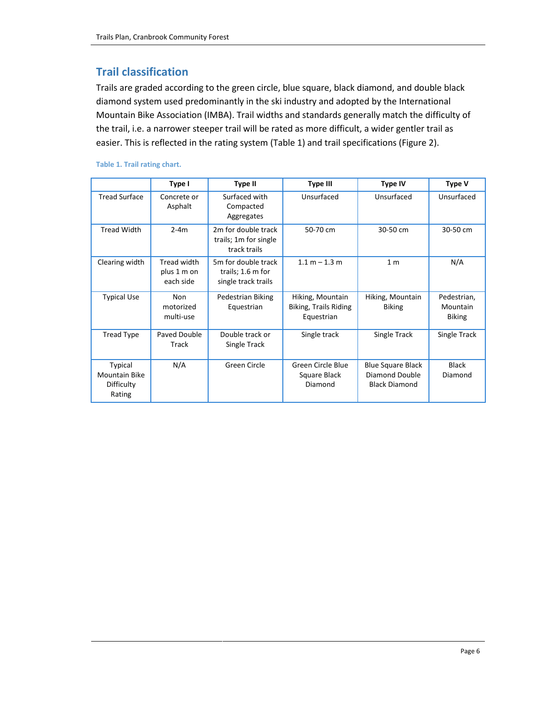#### **Trail classification**

Trails are graded according to the green circle, blue square, black diamond, and double black diamond system used predominantly in the ski industry and adopted by the International Mountain Bike Association (IMBA). Trail widths and standards generally match the difficulty of the trail, i.e. a narrower steeper trail will be rated as more difficult, a wider gentler trail as easier. This is reflected in the rating system [\(Table 1\)](#page-8-0) and trail specifications [\(Figure 2\)](#page-9-0).

|                                                                | Type I                                  |                                                                 | <b>Type III</b>                                         | <b>Type IV</b>                                                     | <b>Type V</b>                            |
|----------------------------------------------------------------|-----------------------------------------|-----------------------------------------------------------------|---------------------------------------------------------|--------------------------------------------------------------------|------------------------------------------|
| <b>Tread Surface</b>                                           | Concrete or<br>Asphalt                  | Surfaced with<br>Compacted<br>Aggregates                        | Unsurfaced                                              | Unsurfaced                                                         | Unsurfaced                               |
| <b>Tread Width</b>                                             | $2-4m$                                  | 2m for double track<br>trails; 1m for single<br>track trails    | 50-70 cm                                                | 30-50 cm                                                           | 30-50 cm                                 |
| Clearing width                                                 | Tread width<br>plus 1 m on<br>each side | 5m for double track<br>trails; 1.6 m for<br>single track trails | $1.1 m - 1.3 m$                                         | 1 <sub>m</sub>                                                     | N/A                                      |
| <b>Typical Use</b>                                             | <b>Non</b><br>motorized<br>multi-use    | Pedestrian Biking<br>Equestrian                                 | Hiking, Mountain<br>Biking, Trails Riding<br>Equestrian | Hiking, Mountain<br><b>Biking</b>                                  | Pedestrian,<br>Mountain<br><b>Biking</b> |
| <b>Tread Type</b>                                              | Paved Double<br>Track                   | Double track or<br>Single Track                                 | Single track                                            | Single Track                                                       | Single Track                             |
| <b>Typical</b><br><b>Mountain Bike</b><br>Difficulty<br>Rating | N/A                                     | Green Circle                                                    | Green Circle Blue<br>Square Black<br>Diamond            | <b>Blue Square Black</b><br>Diamond Double<br><b>Black Diamond</b> | <b>Black</b><br>Diamond                  |

#### <span id="page-8-0"></span>**Table 1. Trail rating chart.**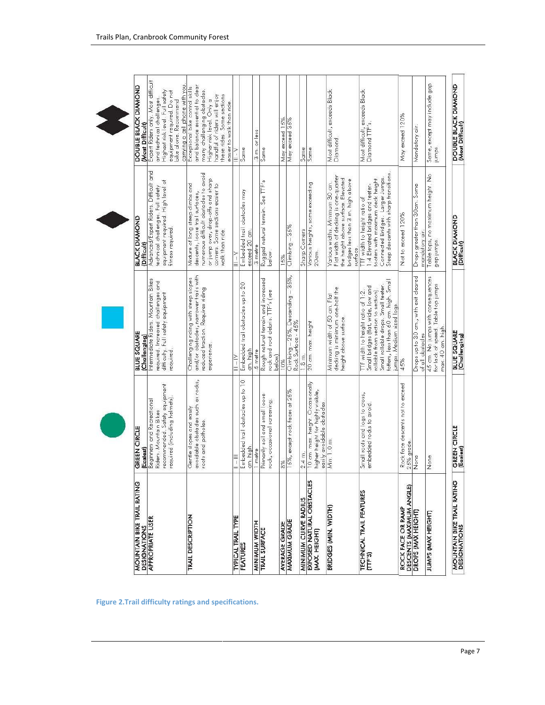| <b>MOUNTAIN BIKE TRAIL RATING</b><br><b>DESIGNATIONS</b> | GREEN CIRCLE<br>(Easlest)                                                                                                    | <b>BLUE SQUARE</b><br>(ChallengIng)                                                                                                                                                                                        | <b>BLACK DIAMOND</b><br>(Difficult)                                                                                                                                                                     | DOUBLE BLACK DIAMOND<br>(Most Difficult)                                                                                                                                                                                |
|----------------------------------------------------------|------------------------------------------------------------------------------------------------------------------------------|----------------------------------------------------------------------------------------------------------------------------------------------------------------------------------------------------------------------------|---------------------------------------------------------------------------------------------------------------------------------------------------------------------------------------------------------|-------------------------------------------------------------------------------------------------------------------------------------------------------------------------------------------------------------------------|
| <b>APPROPRIATE USER</b>                                  | recommended, Safety equipment<br>required (including helmets)<br><b>Beginners and Recreational</b><br>Riders. Mountain Bikes | Intermediate Riders, Mountain Bikes<br>required, Increased challenges and<br>difficulty. Full safety equipment<br>required                                                                                                 | Advanced/Expert Riders. Difficult and<br>equipment required. High level of<br>technical challenges. Full safety<br>fitness required                                                                     | Expert Riders only. Most difficult<br>carrying a cell phone with you<br>Highest risk level. Full safety<br>equipment required. Do not<br>and technical challenges<br>bike alone. Recommend                              |
| <b>TRAIL DESCRIPTION</b>                                 | avoidable obstades such as rocks,<br>Gentle slopes and easily<br>roots and potholes.                                         | and/or obstacles, narrower trails with<br>Challenging riding with steep slopes<br>reduced traction. Requires riding<br>experience                                                                                          | numerous difficult obstacles to avoid<br>or jump over, drop-offs and sharp<br>Mixture of long steep dimbs and<br>corners. Some sections easier to<br>descents, loose trail surfaces,<br>walk than ride. | and balance essential to clear<br>Exceptional bike control skills<br>many challenging obstacles.<br>these rides. Some sections<br>handful of riders will enjoy<br>Higher risk level. Only a<br>easier to walk than ride |
| <b>TYPICAL TRAIL TYPE</b>                                | $\frac{1}{1}$                                                                                                                | $\ge$ $\ge$                                                                                                                                                                                                                |                                                                                                                                                                                                         |                                                                                                                                                                                                                         |
| FEATURES                                                 | Embedded trail obstacles up to 10<br>cm. high.                                                                               | Embedded trail obstacles up to 20<br>am. high                                                                                                                                                                              | Embedded trail obstacles may<br>exceed 20 cm.                                                                                                                                                           | Same                                                                                                                                                                                                                    |
| <b>HIGIM WIDNIN</b>                                      | 1 metre                                                                                                                      | 5 metre                                                                                                                                                                                                                    | 3 metre                                                                                                                                                                                                 | 3 muorless                                                                                                                                                                                                              |
| TRAIL SURFACE                                            | Primarily soil and small loose<br>rock, occasional screening.                                                                | Rough natural terrain and increased<br>rock and root debris. TTF's (see<br>below)                                                                                                                                          | Rugged natural terrain. See TTF's<br>below.                                                                                                                                                             | Same                                                                                                                                                                                                                    |
| <b>AVERAGE GRADE</b>                                     | 8%                                                                                                                           | 10%                                                                                                                                                                                                                        | 15%                                                                                                                                                                                                     | May exceed 15%                                                                                                                                                                                                          |
| <b>MAXIMUM GRADE</b>                                     | 15%, except rock faces at 25%                                                                                                | Climbing – 25%, Descending – 35%,<br>Rock Surface - 45%                                                                                                                                                                    | Climbing - 35%                                                                                                                                                                                          | May exceed 35%                                                                                                                                                                                                          |
| <b>MINIMUM CURVE RADIUS</b>                              | 2.4 m.                                                                                                                       | 1.8 m.                                                                                                                                                                                                                     | <b>Sharp Comers</b>                                                                                                                                                                                     | Same                                                                                                                                                                                                                    |
| EXPOSED NATURAL OBSTACLES<br><b>MAX. HEIGHT</b>          | 10 cm. max. height. O cassionally<br>higher height for highly visible,<br>easily avoidable obstades                          | 20 cm. max. height                                                                                                                                                                                                         | Various heights, some exceeding<br>20cm.                                                                                                                                                                | Same                                                                                                                                                                                                                    |
| BRIDGES (MIN. WIDTH)                                     | Min. 1.0 m.                                                                                                                  | decking is minimum one-half the<br>Minimum width of 50 cm. Flat<br>height above surface.                                                                                                                                   | Flat width of decking is one-quarter<br>the height above surface. Elevated<br>bridges less than 3 m. high above<br>Various widths. Minimum 30 cm.<br>surface                                            | Most difficult, exceeds Black<br>Diamond.                                                                                                                                                                               |
| TECHNICAL TRAIL FEATURES<br>[715]                        | Small roots and logs to cross,<br>embedded rocks to avoid.                                                                   | totters, less than 60 cm. high. Small<br>Small rollable drops. Small teeter-<br>Small bridges (flat, wide, low and<br>rollable from section to section).<br>TTF width to height ratio of 1:2.<br>jumps. Medium sized logs. | Steep descents with sharp transitions<br>Connected Bridges. Larger Jumps.<br>toders with maximum deck height.<br>1:4. Elevated bridges and teeter-<br>TTF width to height ratio of                      | Most difficult, exceeds Black<br>Diamond TTF's.                                                                                                                                                                         |
| DESCENTS (MAXIMUM ANGLE)<br>ROCK FACE OR RAMP            | Rock face descents not to exceed<br>25% grade                                                                                | 45%                                                                                                                                                                                                                        | Not to exceed 120%                                                                                                                                                                                      | May exceed 120%                                                                                                                                                                                                         |
| DROPS (MAX HEIGHT)                                       | None                                                                                                                         | Drops up to 30 cm., with exit cleared<br>of all obstacles                                                                                                                                                                  | Drops greater than 30cm. Some<br>mandatory air.                                                                                                                                                         | Mandatory air.                                                                                                                                                                                                          |
| JUMPS (MAX HEIGHT)                                       | None                                                                                                                         | 45 cm. No jumps with consequences<br>for lack of speed. Table top jumps<br>max. 40 cm. high                                                                                                                                | Table tops, no maximum height. No<br>gap jumps.                                                                                                                                                         | Same, except may include gap<br>jumps.                                                                                                                                                                                  |
| <b>MOUNTAIN BIKE TRAIL RATING</b><br>DESIGNATIONS        | GREEN CIRCLE<br>(Easiest)                                                                                                    | <b>BLUE SQUARE</b><br>(Challenging)                                                                                                                                                                                        | <b>BLACK DIAMOND</b><br>(Difficult)                                                                                                                                                                     | DOUBLE BLACK DIAMOND<br>(Most Difficult)                                                                                                                                                                                |

<span id="page-9-0"></span>**Figure 2.Trail difficulty ratings and specifications.**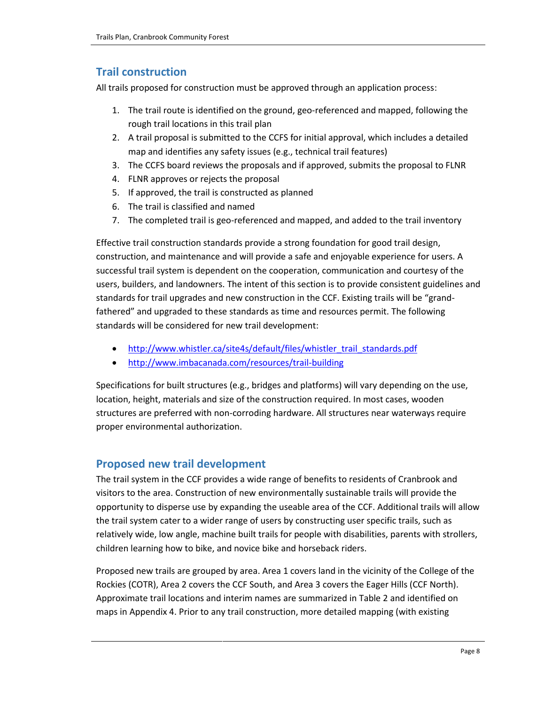#### **Trail construction**

All trails proposed for construction must be approved through an application process:

- 1. The trail route is identified on the ground, geo-referenced and mapped, following the rough trail locations in this trail plan
- 2. A trail proposal is submitted to the CCFS for initial approval, which includes a detailed map and identifies any safety issues (e.g., technical trail features)
- 3. The CCFS board reviews the proposals and if approved, submits the proposal to FLNR
- 4. FLNR approves or rejects the proposal
- 5. If approved, the trail is constructed as planned
- 6. The trail is classified and named
- 7. The completed trail is geo-referenced and mapped, and added to the trail inventory

Effective trail construction standards provide a strong foundation for good trail design, construction, and maintenance and will provide a safe and enjoyable experience for users. A successful trail system is dependent on the cooperation, communication and courtesy of the users, builders, and landowners. The intent of this section is to provide consistent guidelines and standards for trail upgrades and new construction in the CCF. Existing trails will be "grandfathered" and upgraded to these standards as time and resources permit. The following standards will be considered for new trail development:

- [http://www.whistler.ca/site4s/default/files/whistler\\_trail\\_standards.pdf](http://www.whistler.ca/site4s/default/files/whistler_trail_standards.pdf)
- <http://www.imbacanada.com/resources/trail-building>

Specifications for built structures (e.g., bridges and platforms) will vary depending on the use, location, height, materials and size of the construction required. In most cases, wooden structures are preferred with non-corroding hardware. All structures near waterways require proper environmental authorization.

#### **Proposed new trail development**

The trail system in the CCF provides a wide range of benefits to residents of Cranbrook and visitors to the area. Construction of new environmentally sustainable trails will provide the opportunity to disperse use by expanding the useable area of the CCF. Additional trails will allow the trail system cater to a wider range of users by constructing user specific trails, such as relatively wide, low angle, machine built trails for people with disabilities, parents with strollers, children learning how to bike, and novice bike and horseback riders.

Proposed new trails are grouped by area. Area 1 covers land in the vicinity of the College of the Rockies (COTR), Area 2 covers the CCF South, and Area 3 covers the Eager Hills (CCF North). Approximate trail locations and interim names are summarized in Table 2 and identified on maps in Appendix 4. Prior to any trail construction, more detailed mapping (with existing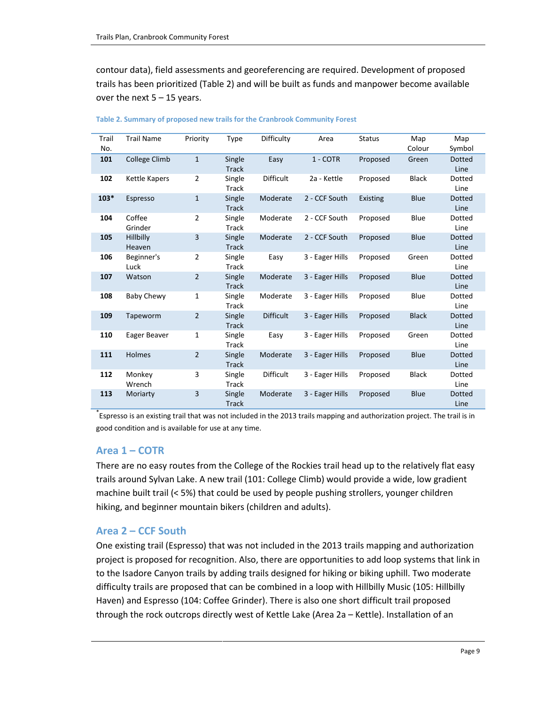contour data), field assessments and georeferencing are required. Development of proposed trails has been prioritized (Table 2) and will be built as funds and manpower become available over the next  $5 - 15$  years.

| Trail<br>No. | <b>Trail Name</b>    | Priority       | Type         | Difficulty       | Area            | <b>Status</b>   | Map<br>Colour | Map<br>Symbol |
|--------------|----------------------|----------------|--------------|------------------|-----------------|-----------------|---------------|---------------|
|              |                      |                |              |                  |                 |                 |               |               |
| 101          | College Climb        | 1              | Single       | Easy             | 1 - COTR        | Proposed        | Green         | <b>Dotted</b> |
|              |                      |                | <b>Track</b> |                  |                 |                 |               | Line          |
| 102          | <b>Kettle Kapers</b> | 2              |              | <b>Difficult</b> | 2a - Kettle     |                 | <b>Black</b>  | Dotted        |
|              |                      |                | Single       |                  |                 | Proposed        |               |               |
|              |                      |                | Track        |                  |                 |                 |               | Line          |
| $103*$       | Espresso             | $\mathbf{1}$   | Single       | Moderate         | 2 - CCF South   | <b>Existing</b> | Blue          | <b>Dotted</b> |
|              |                      |                | <b>Track</b> |                  |                 |                 |               | Line          |
|              |                      |                |              |                  |                 |                 |               |               |
| 104          | Coffee               | 2              | Single       | Moderate         | 2 - CCF South   | Proposed        | Blue          | Dotted        |
|              | Grinder              |                | Track        |                  |                 |                 |               | Line          |
| 105          | Hillbilly            | 3              | Single       | Moderate         | 2 - CCF South   | Proposed        | <b>Blue</b>   | Dotted        |
|              | Heaven               |                |              |                  |                 |                 |               |               |
|              |                      |                | <b>Track</b> |                  |                 |                 |               | Line          |
| 106          | Beginner's           | 2              | Single       | Easy             | 3 - Eager Hills | Proposed        | Green         | Dotted        |
|              | Luck                 |                | Track        |                  |                 |                 |               | Line          |
| 107          | Watson               | $\overline{2}$ | Single       | Moderate         | 3 - Eager Hills | Proposed        | Blue          | <b>Dotted</b> |
|              |                      |                |              |                  |                 |                 |               |               |
|              |                      |                | <b>Track</b> |                  |                 |                 |               | Line          |
| 108          | <b>Baby Chewy</b>    | 1              | Single       | Moderate         | 3 - Eager Hills | Proposed        | Blue          | Dotted        |
|              |                      |                | Track        |                  |                 |                 |               | Line          |
| 109          | Tapeworm             | $\overline{2}$ | Single       | <b>Difficult</b> | 3 - Eager Hills | Proposed        | <b>Black</b>  | <b>Dotted</b> |
|              |                      |                |              |                  |                 |                 |               |               |
|              |                      |                | <b>Track</b> |                  |                 |                 |               | Line          |
| 110          | Eager Beaver         | 1              | Single       | Easy             | 3 - Eager Hills | Proposed        | Green         | Dotted        |
|              |                      |                | <b>Track</b> |                  |                 |                 |               | Line          |
| 111          | Holmes               | $\overline{2}$ |              |                  | 3 - Eager Hills |                 | <b>Blue</b>   | <b>Dotted</b> |
|              |                      |                | Single       | Moderate         |                 | Proposed        |               |               |
|              |                      |                | <b>Track</b> |                  |                 |                 |               | Line          |
| 112          | Monkey               | 3              | Single       | <b>Difficult</b> | 3 - Eager Hills | Proposed        | <b>Black</b>  | Dotted        |
|              | Wrench               |                | Track        |                  |                 |                 |               | Line          |
|              |                      |                |              |                  |                 |                 |               |               |
| 113          | Moriarty             | 3              | Single       | Moderate         | 3 - Eager Hills | Proposed        | Blue          | <b>Dotted</b> |
|              |                      |                | <b>Track</b> |                  |                 |                 |               | Line          |

|  |  |  |  | Table 2. Summary of proposed new trails for the Cranbrook Community Forest |
|--|--|--|--|----------------------------------------------------------------------------|
|--|--|--|--|----------------------------------------------------------------------------|

\* Espresso is an existing trail that was not included in the 2013 trails mapping and authorization project. The trail is in good condition and is available for use at any time.

#### **Area 1 – COTR**

There are no easy routes from the College of the Rockies trail head up to the relatively flat easy trails around Sylvan Lake. A new trail (101: College Climb) would provide a wide, low gradient machine built trail (< 5%) that could be used by people pushing strollers, younger children hiking, and beginner mountain bikers (children and adults).

#### **Area 2 – CCF South**

One existing trail (Espresso) that was not included in the 2013 trails mapping and authorization project is proposed for recognition. Also, there are opportunities to add loop systems that link in to the Isadore Canyon trails by adding trails designed for hiking or biking uphill. Two moderate difficulty trails are proposed that can be combined in a loop with Hillbilly Music (105: Hillbilly Haven) and Espresso (104: Coffee Grinder). There is also one short difficult trail proposed through the rock outcrops directly west of Kettle Lake (Area 2a – Kettle). Installation of an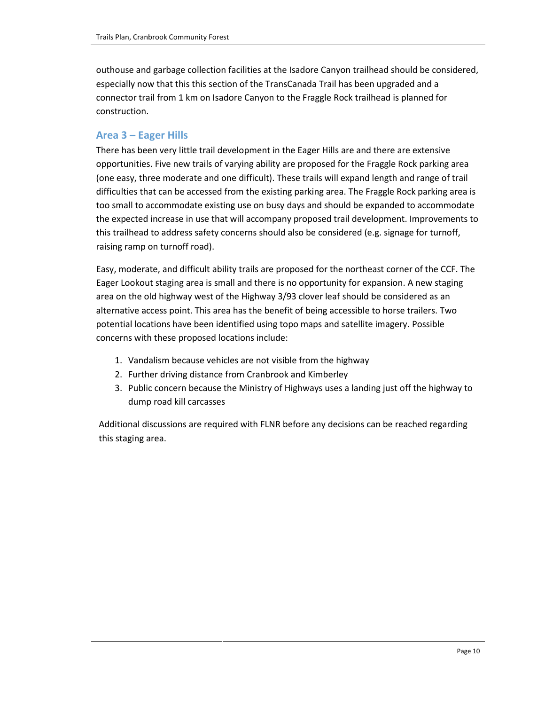outhouse and garbage collection facilities at the Isadore Canyon trailhead should be considered, especially now that this this section of the TransCanada Trail has been upgraded and a connector trail from 1 km on Isadore Canyon to the Fraggle Rock trailhead is planned for construction.

#### **Area 3 – Eager Hills**

There has been very little trail development in the Eager Hills are and there are extensive opportunities. Five new trails of varying ability are proposed for the Fraggle Rock parking area (one easy, three moderate and one difficult). These trails will expand length and range of trail difficulties that can be accessed from the existing parking area. The Fraggle Rock parking area is too small to accommodate existing use on busy days and should be expanded to accommodate the expected increase in use that will accompany proposed trail development. Improvements to this trailhead to address safety concerns should also be considered (e.g. signage for turnoff, raising ramp on turnoff road).

Easy, moderate, and difficult ability trails are proposed for the northeast corner of the CCF. The Eager Lookout staging area is small and there is no opportunity for expansion. A new staging area on the old highway west of the Highway 3/93 clover leaf should be considered as an alternative access point. This area has the benefit of being accessible to horse trailers. Two potential locations have been identified using topo maps and satellite imagery. Possible concerns with these proposed locations include:

- 1. Vandalism because vehicles are not visible from the highway
- 2. Further driving distance from Cranbrook and Kimberley
- 3. Public concern because the Ministry of Highways uses a landing just off the highway to dump road kill carcasses

Additional discussions are required with FLNR before any decisions can be reached regarding this staging area.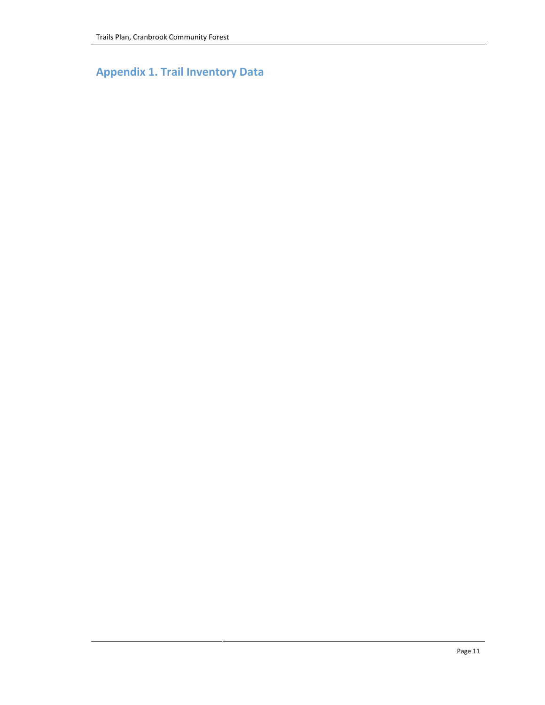**Appendix 1. Trail Inventory Data**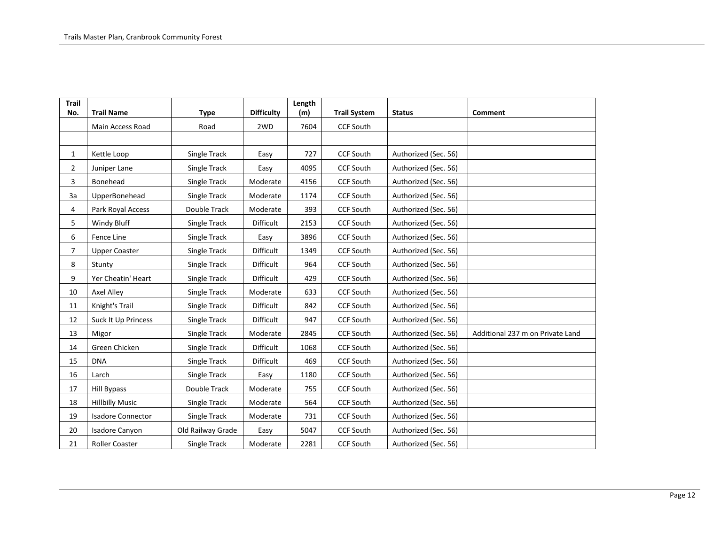| <b>Trail</b>   |                            |                   |                   | Length |                     |                      |                                  |
|----------------|----------------------------|-------------------|-------------------|--------|---------------------|----------------------|----------------------------------|
| No.            | <b>Trail Name</b>          | <b>Type</b>       | <b>Difficulty</b> | (m)    | <b>Trail System</b> | <b>Status</b>        | Comment                          |
|                | Main Access Road           | Road              | 2WD               | 7604   | <b>CCF South</b>    |                      |                                  |
|                |                            |                   |                   |        |                     |                      |                                  |
| $\mathbf{1}$   | Kettle Loop                | Single Track      | Easy              | 727    | <b>CCF South</b>    | Authorized (Sec. 56) |                                  |
| $\overline{2}$ | Juniper Lane               | Single Track      | Easy              | 4095   | <b>CCF South</b>    | Authorized (Sec. 56) |                                  |
| 3              | Bonehead                   | Single Track      | Moderate          | 4156   | <b>CCF South</b>    | Authorized (Sec. 56) |                                  |
| 3a             | UpperBonehead              | Single Track      | Moderate          | 1174   | CCF South           | Authorized (Sec. 56) |                                  |
| 4              | Park Royal Access          | Double Track      | Moderate          | 393    | <b>CCF South</b>    | Authorized (Sec. 56) |                                  |
| 5              | Windy Bluff                | Single Track      | Difficult         | 2153   | <b>CCF South</b>    | Authorized (Sec. 56) |                                  |
| 6              | Fence Line                 | Single Track      | Easy              | 3896   | <b>CCF South</b>    | Authorized (Sec. 56) |                                  |
| $\overline{7}$ | <b>Upper Coaster</b>       | Single Track      | <b>Difficult</b>  | 1349   | <b>CCF South</b>    | Authorized (Sec. 56) |                                  |
| 8              | Stunty                     | Single Track      | Difficult         | 964    | <b>CCF South</b>    | Authorized (Sec. 56) |                                  |
| 9              | Yer Cheatin' Heart         | Single Track      | Difficult         | 429    | <b>CCF South</b>    | Authorized (Sec. 56) |                                  |
| 10             | Axel Alley                 | Single Track      | Moderate          | 633    | <b>CCF South</b>    | Authorized (Sec. 56) |                                  |
| 11             | Knight's Trail             | Single Track      | Difficult         | 842    | <b>CCF South</b>    | Authorized (Sec. 56) |                                  |
| 12             | <b>Suck It Up Princess</b> | Single Track      | Difficult         | 947    | <b>CCF South</b>    | Authorized (Sec. 56) |                                  |
| 13             | Migor                      | Single Track      | Moderate          | 2845   | <b>CCF South</b>    | Authorized (Sec. 56) | Additional 237 m on Private Land |
| 14             | Green Chicken              | Single Track      | Difficult         | 1068   | <b>CCF South</b>    | Authorized (Sec. 56) |                                  |
| 15             | <b>DNA</b>                 | Single Track      | Difficult         | 469    | <b>CCF South</b>    | Authorized (Sec. 56) |                                  |
| 16             | Larch                      | Single Track      | Easy              | 1180   | <b>CCF South</b>    | Authorized (Sec. 56) |                                  |
| 17             | Hill Bypass                | Double Track      | Moderate          | 755    | CCF South           | Authorized (Sec. 56) |                                  |
| 18             | <b>Hillbilly Music</b>     | Single Track      | Moderate          | 564    | <b>CCF South</b>    | Authorized (Sec. 56) |                                  |
| 19             | <b>Isadore Connector</b>   | Single Track      | Moderate          | 731    | <b>CCF South</b>    | Authorized (Sec. 56) |                                  |
| 20             | Isadore Canyon             | Old Railway Grade | Easy              | 5047   | <b>CCF South</b>    | Authorized (Sec. 56) |                                  |
| 21             | Roller Coaster             | Single Track      | Moderate          | 2281   | <b>CCF South</b>    | Authorized (Sec. 56) |                                  |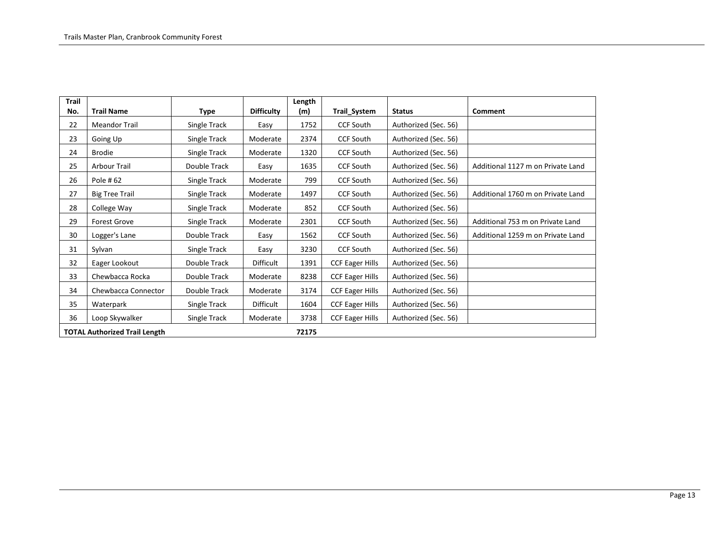| Trail |                                      |              |                   | Length |                        |                      |                                   |
|-------|--------------------------------------|--------------|-------------------|--------|------------------------|----------------------|-----------------------------------|
| No.   | <b>Trail Name</b>                    | Type         | <b>Difficulty</b> | (m)    | Trail_System           | <b>Status</b>        | <b>Comment</b>                    |
| 22    | Meandor Trail                        | Single Track | Easy              | 1752   | <b>CCF South</b>       | Authorized (Sec. 56) |                                   |
| 23    | Going Up                             | Single Track | Moderate          | 2374   | <b>CCF South</b>       | Authorized (Sec. 56) |                                   |
| 24    | <b>Brodie</b>                        | Single Track | Moderate          | 1320   | <b>CCF South</b>       | Authorized (Sec. 56) |                                   |
| 25    | Arbour Trail                         | Double Track | Easy              | 1635   | <b>CCF South</b>       | Authorized (Sec. 56) | Additional 1127 m on Private Land |
| 26    | Pole #62                             | Single Track | Moderate          | 799    | <b>CCF South</b>       | Authorized (Sec. 56) |                                   |
| 27    | <b>Big Tree Trail</b>                | Single Track | Moderate          | 1497   | <b>CCF South</b>       | Authorized (Sec. 56) | Additional 1760 m on Private Land |
| 28    | College Way                          | Single Track | Moderate          | 852    | <b>CCF South</b>       | Authorized (Sec. 56) |                                   |
| 29    | <b>Forest Grove</b>                  | Single Track | Moderate          | 2301   | <b>CCF South</b>       | Authorized (Sec. 56) | Additional 753 m on Private Land  |
| 30    | Logger's Lane                        | Double Track | Easy              | 1562   | <b>CCF South</b>       | Authorized (Sec. 56) | Additional 1259 m on Private Land |
| 31    | Sylvan                               | Single Track | Easy              | 3230   | <b>CCF South</b>       | Authorized (Sec. 56) |                                   |
| 32    | Eager Lookout                        | Double Track | Difficult         | 1391   | <b>CCF Eager Hills</b> | Authorized (Sec. 56) |                                   |
| 33    | Chewbacca Rocka                      | Double Track | Moderate          | 8238   | <b>CCF Eager Hills</b> | Authorized (Sec. 56) |                                   |
| 34    | Chewbacca Connector                  | Double Track | Moderate          | 3174   | <b>CCF Eager Hills</b> | Authorized (Sec. 56) |                                   |
| 35    | Waterpark                            | Single Track | Difficult         | 1604   | <b>CCF Eager Hills</b> | Authorized (Sec. 56) |                                   |
| 36    | Loop Skywalker                       | Single Track | Moderate          | 3738   | <b>CCF Eager Hills</b> | Authorized (Sec. 56) |                                   |
|       | <b>TOTAL Authorized Trail Length</b> |              |                   | 72175  |                        |                      |                                   |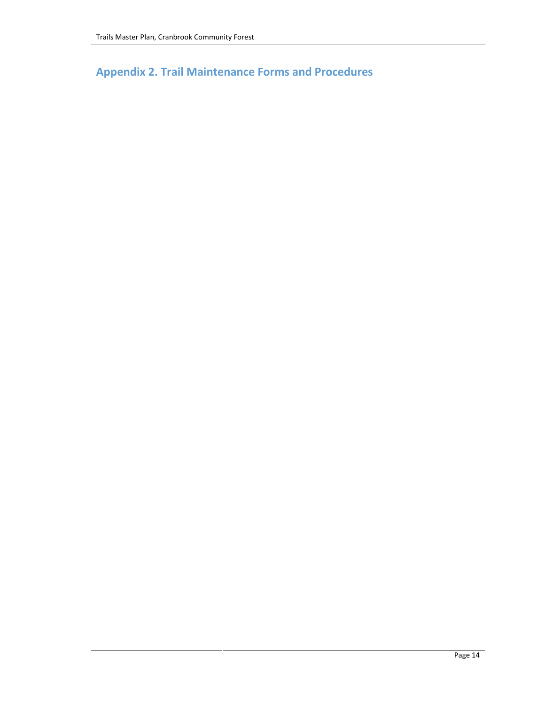**Appendix 2. Trail Maintenance Forms and Procedures**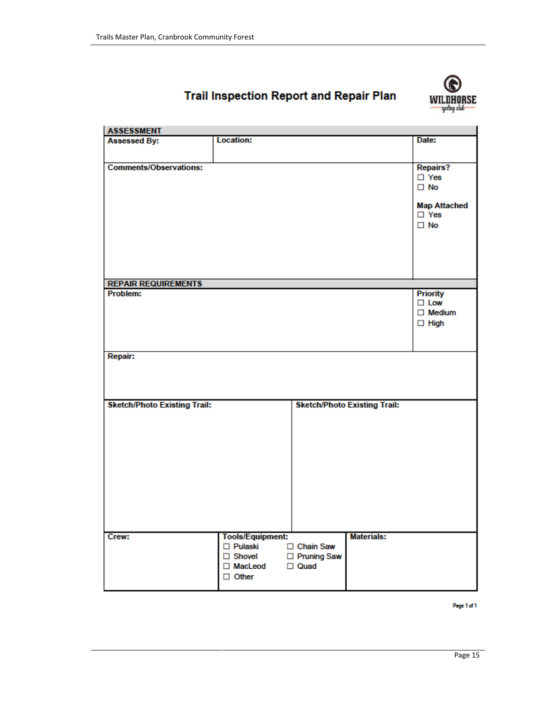

## **Trail Inspection Report and Repair Plan**

| <b>ASSESSMENT</b>                   |                         |               |                                     |                     |
|-------------------------------------|-------------------------|---------------|-------------------------------------|---------------------|
| <b>Assessed By:</b>                 | <b>Location:</b>        |               |                                     | Date:               |
|                                     |                         |               |                                     |                     |
| <b>Comments/Observations:</b>       |                         |               |                                     | <b>Repairs?</b>     |
|                                     |                         |               |                                     | $\square$ Yes       |
|                                     |                         |               |                                     | $\square$ No        |
|                                     |                         |               |                                     |                     |
|                                     |                         |               |                                     | <b>Map Attached</b> |
|                                     |                         |               |                                     | □ Yes               |
|                                     |                         |               |                                     | $\square$ No        |
|                                     |                         |               |                                     |                     |
|                                     |                         |               |                                     |                     |
|                                     |                         |               |                                     |                     |
|                                     |                         |               |                                     |                     |
|                                     |                         |               |                                     |                     |
| <b>REPAIR REQUIREMENTS</b>          |                         |               |                                     |                     |
| Problem:                            |                         |               |                                     | <b>Priority</b>     |
|                                     |                         |               |                                     | $\Box$ Low          |
|                                     |                         |               |                                     | $\Box$ Medium       |
|                                     |                         |               |                                     | $\Box$ High         |
|                                     |                         |               |                                     |                     |
|                                     |                         |               |                                     |                     |
| Repair:                             |                         |               |                                     |                     |
|                                     |                         |               |                                     |                     |
|                                     |                         |               |                                     |                     |
|                                     |                         |               |                                     |                     |
|                                     |                         |               |                                     |                     |
| <b>Sketch/Photo Existing Trail:</b> |                         |               | <b>Sketch/Photo Existing Trail:</b> |                     |
|                                     |                         |               |                                     |                     |
|                                     |                         |               |                                     |                     |
|                                     |                         |               |                                     |                     |
|                                     |                         |               |                                     |                     |
|                                     |                         |               |                                     |                     |
|                                     |                         |               |                                     |                     |
|                                     |                         |               |                                     |                     |
|                                     |                         |               |                                     |                     |
|                                     |                         |               |                                     |                     |
|                                     |                         |               |                                     |                     |
|                                     |                         |               |                                     |                     |
|                                     |                         |               |                                     |                     |
| Crew:                               | <b>Tools/Equipment:</b> |               | <b>Materials:</b>                   |                     |
|                                     | □ Pulaski               | □ Chain Saw   |                                     |                     |
|                                     | $\Box$ Shovel           | □ Pruning Saw |                                     |                     |
|                                     | □ MacLeod               | $\Box$ Quad   |                                     |                     |
|                                     | $\Box$ Other            |               |                                     |                     |
|                                     |                         |               |                                     |                     |

Page 1 of 1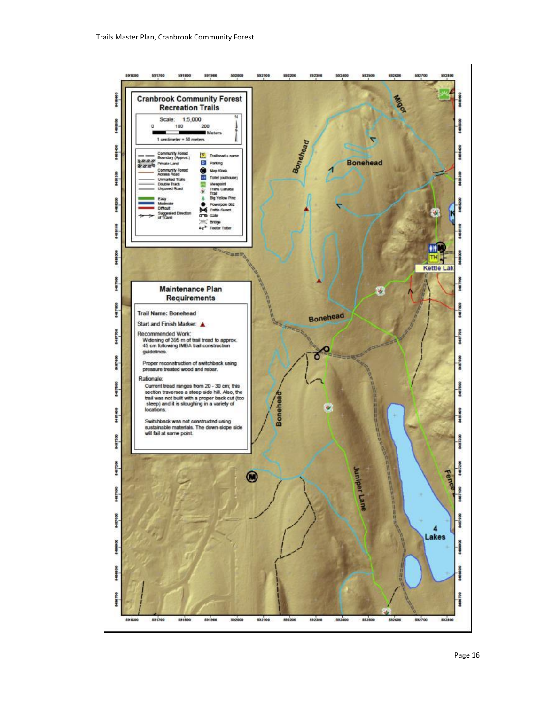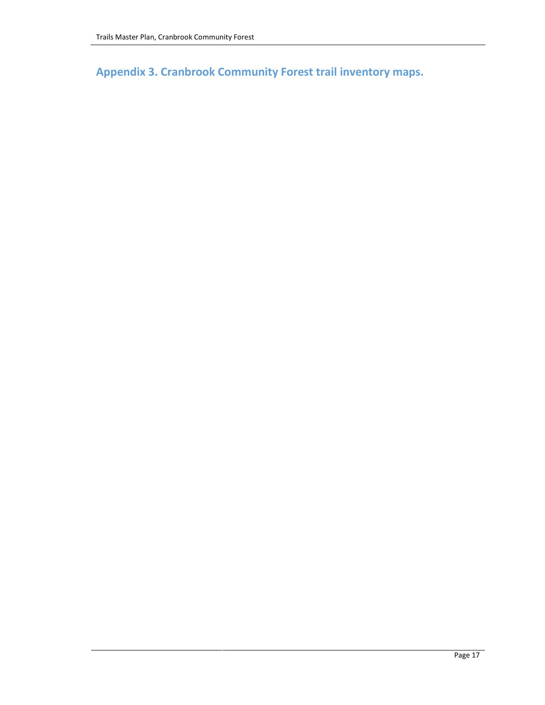**Appendix 3. Cranbrook Community Forest trail inventory maps.**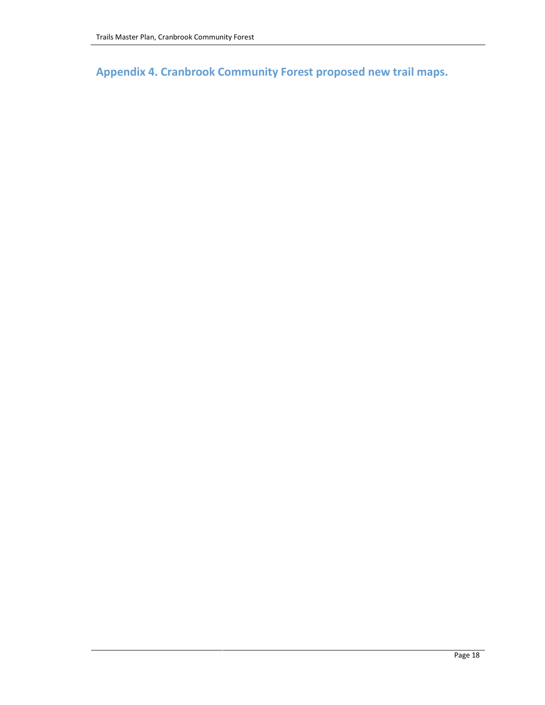**Appendix 4. Cranbrook Community Forest proposed new trail maps.**